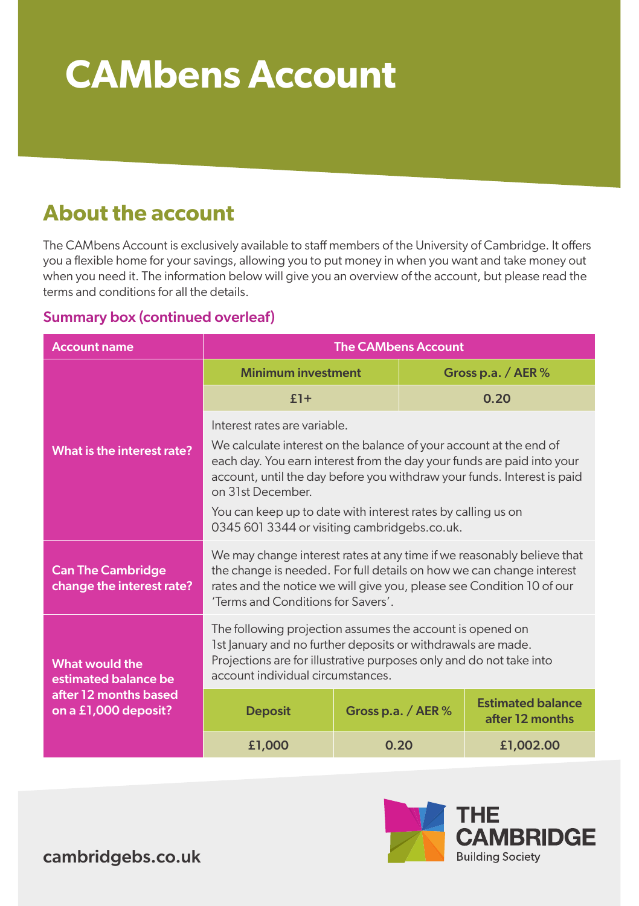# **CAMbens Account**

### **About the account**

The CAMbens Account is exclusively available to staff members of the University of Cambridge. It offers you a flexible home for your savings, allowing you to put money in when you want and take money out when you need it. The information below will give you an overview of the account, but please read the terms and conditions for all the details.

#### Summary box (continued overleaf)

| <b>Account name</b>                                                                            | <b>The CAMbens Account</b>                                                                                                                                                                                                                                                                                                                                                                   |                      |  |                                             |
|------------------------------------------------------------------------------------------------|----------------------------------------------------------------------------------------------------------------------------------------------------------------------------------------------------------------------------------------------------------------------------------------------------------------------------------------------------------------------------------------------|----------------------|--|---------------------------------------------|
| What is the interest rate?                                                                     | <b>Minimum investment</b>                                                                                                                                                                                                                                                                                                                                                                    |                      |  | Gross p.a. / $AER$ %                        |
|                                                                                                | $£1+$                                                                                                                                                                                                                                                                                                                                                                                        |                      |  | 0.20                                        |
|                                                                                                | Interest rates are variable.<br>We calculate interest on the balance of your account at the end of<br>each day. You earn interest from the day your funds are paid into your<br>account, until the day before you withdraw your funds. Interest is paid<br>on 31st December.<br>You can keep up to date with interest rates by calling us on<br>0345 601 3344 or visiting cambridgebs.co.uk. |                      |  |                                             |
| <b>Can The Cambridge</b><br>change the interest rate?                                          | We may change interest rates at any time if we reasonably believe that<br>the change is needed. For full details on how we can change interest<br>rates and the notice we will give you, please see Condition 10 of our<br>'Terms and Conditions for Savers'.                                                                                                                                |                      |  |                                             |
| <b>What would the</b><br>estimated balance be<br>after 12 months based<br>on a £1,000 deposit? | The following projection assumes the account is opened on<br>1st January and no further deposits or withdrawals are made.<br>Projections are for illustrative purposes only and do not take into<br>account individual circumstances.                                                                                                                                                        |                      |  |                                             |
|                                                                                                | <b>Deposit</b>                                                                                                                                                                                                                                                                                                                                                                               | Gross p.a. / AER $%$ |  | <b>Estimated balance</b><br>after 12 months |
|                                                                                                | £1,000                                                                                                                                                                                                                                                                                                                                                                                       | 0.20                 |  | £1,002.00                                   |



cambridgebs.co.uk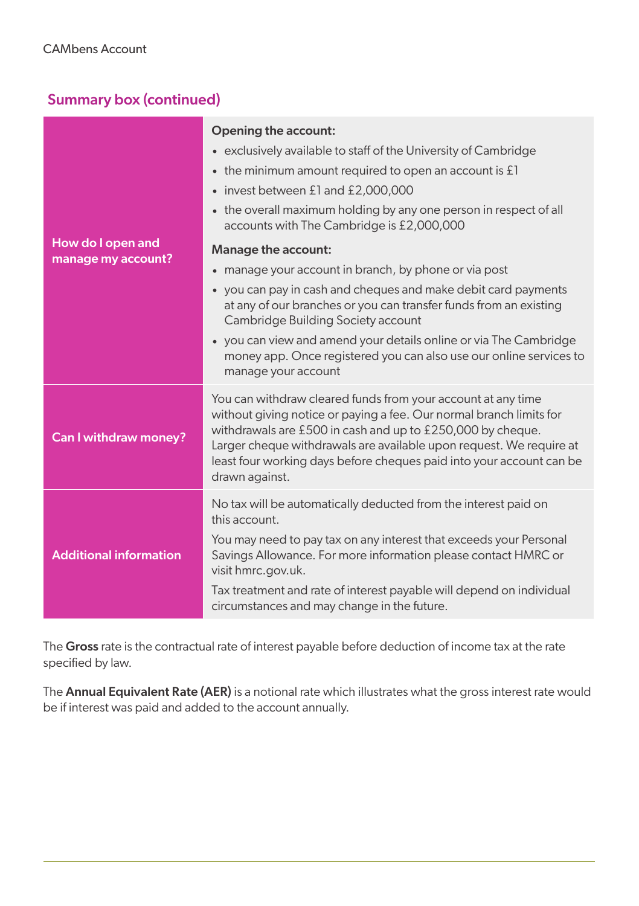#### Summary box (continued)

|                                         | <b>Opening the account:</b>                                                                                                                                                                                                                                                                                                                                           |  |  |  |
|-----------------------------------------|-----------------------------------------------------------------------------------------------------------------------------------------------------------------------------------------------------------------------------------------------------------------------------------------------------------------------------------------------------------------------|--|--|--|
| How do I open and<br>manage my account? | • exclusively available to staff of the University of Cambridge                                                                                                                                                                                                                                                                                                       |  |  |  |
|                                         | $\bullet$ the minimum amount required to open an account is £1                                                                                                                                                                                                                                                                                                        |  |  |  |
|                                         | • invest between £1 and £2,000,000                                                                                                                                                                                                                                                                                                                                    |  |  |  |
|                                         | • the overall maximum holding by any one person in respect of all<br>accounts with The Cambridge is £2,000,000                                                                                                                                                                                                                                                        |  |  |  |
|                                         | Manage the account:                                                                                                                                                                                                                                                                                                                                                   |  |  |  |
|                                         | • manage your account in branch, by phone or via post                                                                                                                                                                                                                                                                                                                 |  |  |  |
|                                         | • you can pay in cash and cheques and make debit card payments<br>at any of our branches or you can transfer funds from an existing<br>Cambridge Building Society account                                                                                                                                                                                             |  |  |  |
|                                         | • you can view and amend your details online or via The Cambridge<br>money app. Once registered you can also use our online services to<br>manage your account                                                                                                                                                                                                        |  |  |  |
| Can I withdraw money?                   | You can withdraw cleared funds from your account at any time<br>without giving notice or paying a fee. Our normal branch limits for<br>withdrawals are £500 in cash and up to £250,000 by cheque.<br>Larger cheque withdrawals are available upon request. We require at<br>least four working days before cheques paid into your account can be<br>drawn against.    |  |  |  |
| <b>Additional information</b>           | No tax will be automatically deducted from the interest paid on<br>this account.<br>You may need to pay tax on any interest that exceeds your Personal<br>Savings Allowance. For more information please contact HMRC or<br>visit hmrc.gov.uk.<br>Tax treatment and rate of interest payable will depend on individual<br>circumstances and may change in the future. |  |  |  |

The Gross rate is the contractual rate of interest payable before deduction of income tax at the rate specified by law.

The **Annual Equivalent Rate (AER)** is a notional rate which illustrates what the gross interest rate would be if interest was paid and added to the account annually.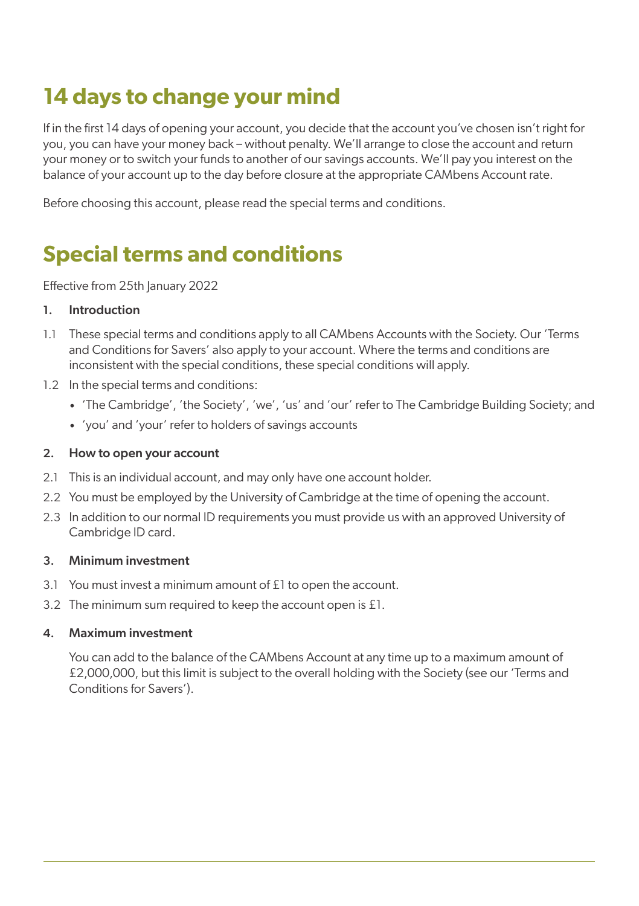# **14 days to change your mind**

If in the first 14 days of opening your account, you decide that the account you've chosen isn't right for you, you can have your money back – without penalty. We'll arrange to close the account and return your money or to switch your funds to another of our savings accounts. We'll pay you interest on the balance of your account up to the day before closure at the appropriate CAMbens Account rate.

Before choosing this account, please read the special terms and conditions.

## **Special terms and conditions**

Effective from 25th January 2022

#### 1. Introduction

- 1.1 These special terms and conditions apply to all CAMbens Accounts with the Society. Our 'Terms and Conditions for Savers' also apply to your account. Where the terms and conditions are inconsistent with the special conditions, these special conditions will apply.
- 1.2 In the special terms and conditions:
	- 'The Cambridge', 'the Society', 'we', 'us' and 'our' refer to The Cambridge Building Society; and
	- 'you' and 'your' refer to holders of savings accounts

#### 2. How to open your account

- 2.1 This is an individual account, and may only have one account holder.
- 2.2 You must be employed by the University of Cambridge at the time of opening the account.
- 2.3 In addition to our normal ID requirements you must provide us with an approved University of Cambridge ID card.

#### 3. Minimum investment

- 3.1 You must invest a minimum amount of £1 to open the account.
- 3.2 The minimum sum required to keep the account open is £1.

#### 4. Maximum investment

You can add to the balance of the CAMbens Account at any time up to a maximum amount of £2,000,000, but this limit is subject to the overall holding with the Society (see our 'Terms and Conditions for Savers').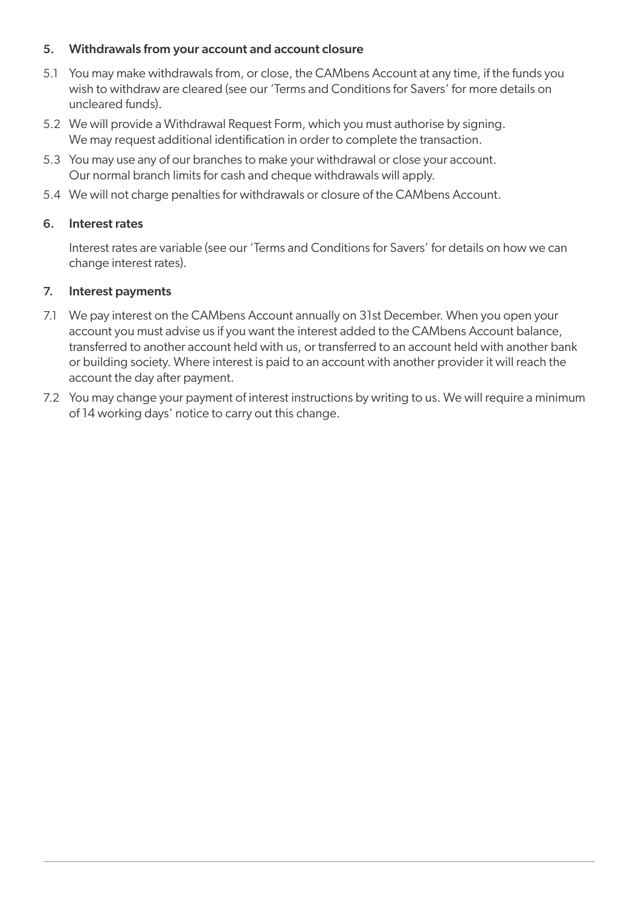#### 5. Withdrawals from your account and account closure

- 5.1 You may make withdrawals from, or close, the CAMbens Account at any time, if the funds you wish to withdraw are cleared (see our 'Terms and Conditions for Savers' for more details on uncleared funds).
- 5.2 We will provide a Withdrawal Request Form, which you must authorise by signing. We may request additional identification in order to complete the transaction.
- 5.3 You may use any of our branches to make your withdrawal or close your account. Our normal branch limits for cash and cheque withdrawals will apply.
- 5.4 We will not charge penalties for withdrawals or closure of the CAMbens Account.

#### 6. Interest rates

Interest rates are variable (see our 'Terms and Conditions for Savers' for details on how we can change interest rates).

#### 7. Interest payments

- 7.1 We pay interest on the CAMbens Account annually on 31st December. When you open your account you must advise us if you want the interest added to the CAMbens Account balance, transferred to another account held with us, or transferred to an account held with another bank or building society. Where interest is paid to an account with another provider it will reach the account the day after payment.
- 7.2 You may change your payment of interest instructions by writing to us. We will require a minimum of 14 working days' notice to carry out this change.